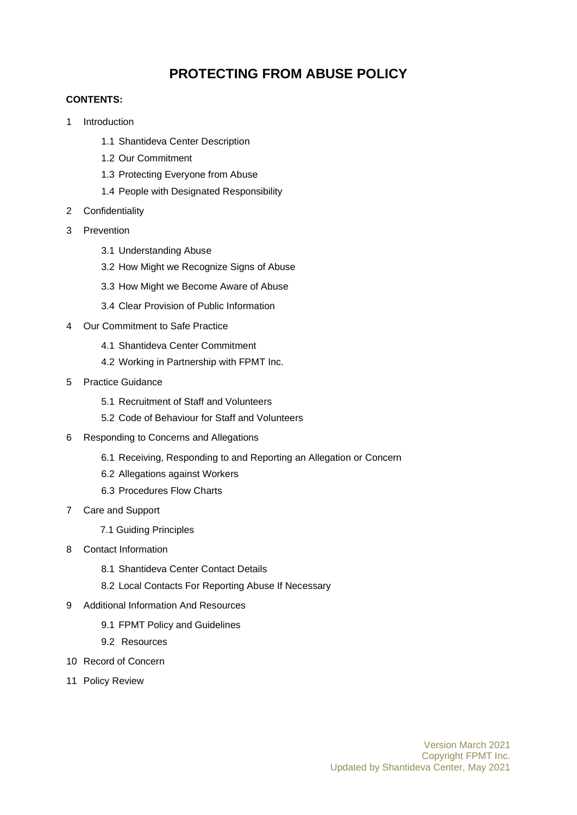# **PROTECTING FROM ABUSE POLICY**

#### **CONTENTS:**

- 1 Introduction
	- 1.1 Shantideva Center Description
	- 1.2 Our Commitment
	- 1.3 Protecting Everyone from Abuse
	- 1.4 People with Designated Responsibility
- 2 Confidentiality
- 3 Prevention
	- 3.1 Understanding Abuse
	- 3.2 How Might we Recognize Signs of Abuse
	- 3.3 How Might we Become Aware of Abuse
	- 3.4 Clear Provision of Public Information
- 4 Our Commitment to Safe Practice
	- 4.1 Shantideva Center Commitment
	- 4.2 Working in Partnership with FPMT Inc.
- 5 Practice Guidance
	- 5.1 Recruitment of Staff and Volunteers
	- 5.2 Code of Behaviour for Staff and Volunteers
- 6 Responding to Concerns and Allegations
	- 6.1 Receiving, Responding to and Reporting an Allegation or Concern
	- 6.2 Allegations against Workers
	- 6.3 Procedures Flow Charts
- 7 Care and Support
	- 7.1 Guiding Principles
- 8 Contact Information
	- 8.1 Shantideva Center Contact Details
	- 8.2 Local Contacts For Reporting Abuse If Necessary
- 9 Additional Information And Resources
	- 9.1 FPMT Policy and Guidelines
	- 9.2 Resources
- 10 Record of Concern
- 11 Policy Review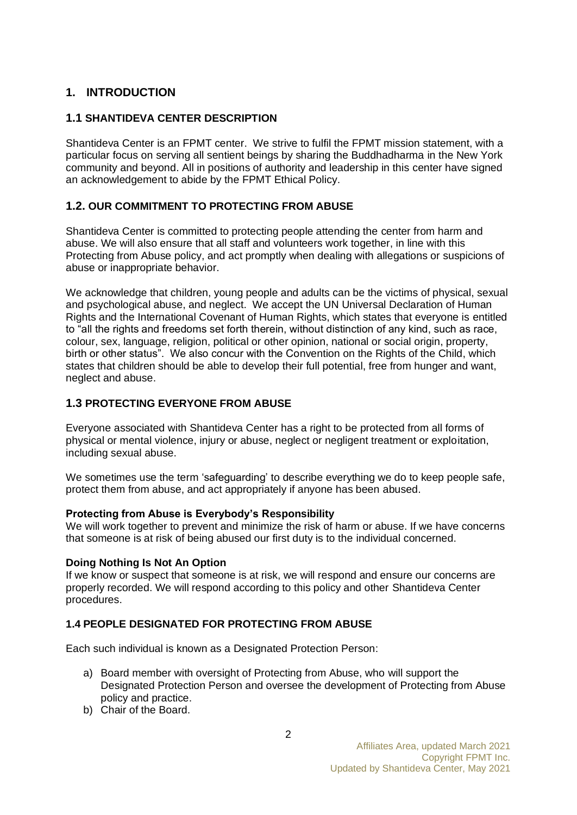## **1. INTRODUCTION**

## **1.1 SHANTIDEVA CENTER DESCRIPTION**

Shantideva Center is an FPMT center. We strive to fulfil the FPMT mission statement, with a particular focus on serving all sentient beings by sharing the Buddhadharma in the New York community and beyond. All in positions of authority and leadership in this center have signed an acknowledgement to abide by the FPMT Ethical Policy.

## **1.2. OUR COMMITMENT TO PROTECTING FROM ABUSE**

Shantideva Center is committed to protecting people attending the center from harm and abuse. We will also ensure that all staff and volunteers work together, in line with this Protecting from Abuse policy, and act promptly when dealing with allegations or suspicions of abuse or inappropriate behavior.

We acknowledge that children, young people and adults can be the victims of physical, sexual and psychological abuse, and neglect. We accept the UN Universal Declaration of Human Rights and the International Covenant of Human Rights, which states that everyone is entitled to "all the rights and freedoms set forth therein, without distinction of any kind, such as race, colour, sex, language, religion, political or other opinion, national or social origin, property, birth or other status". We also concur with the Convention on the Rights of the Child, which states that children should be able to develop their full potential, free from hunger and want, neglect and abuse.

## **1.3 PROTECTING EVERYONE FROM ABUSE**

Everyone associated with Shantideva Center has a right to be protected from all forms of physical or mental violence, injury or abuse, neglect or negligent treatment or exploitation, including sexual abuse.

We sometimes use the term 'safeguarding' to describe everything we do to keep people safe, protect them from abuse, and act appropriately if anyone has been abused.

## **Protecting from Abuse is Everybody's Responsibility**

We will work together to prevent and minimize the risk of harm or abuse. If we have concerns that someone is at risk of being abused our first duty is to the individual concerned.

## **Doing Nothing Is Not An Option**

If we know or suspect that someone is at risk, we will respond and ensure our concerns are properly recorded. We will respond according to this policy and other Shantideva Center procedures.

## **1.4 PEOPLE DESIGNATED FOR PROTECTING FROM ABUSE**

Each such individual is known as a Designated Protection Person:

- a) Board member with oversight of Protecting from Abuse, who will support the Designated Protection Person and oversee the development of Protecting from Abuse policy and practice.
- b) Chair of the Board.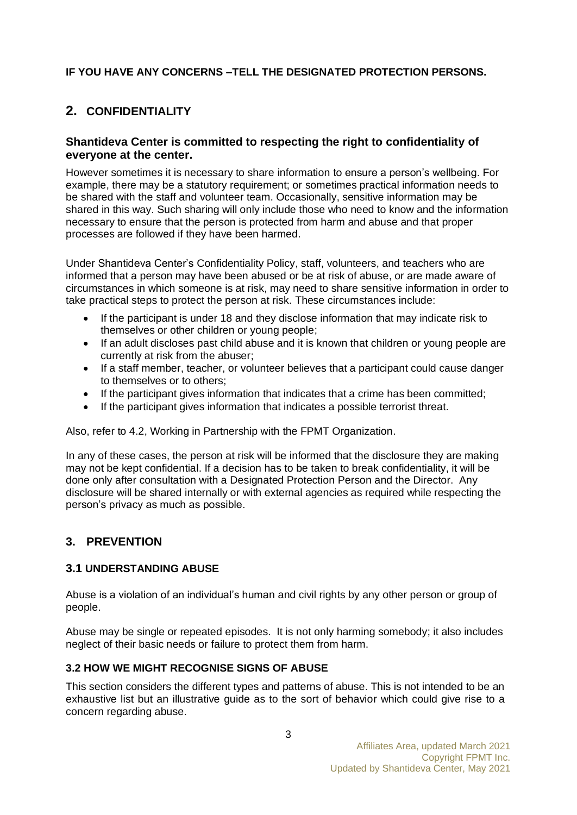## **IF YOU HAVE ANY CONCERNS –TELL THE DESIGNATED PROTECTION PERSONS.**

# **2. CONFIDENTIALITY**

## **Shantideva Center is committed to respecting the right to confidentiality of everyone at the center.**

However sometimes it is necessary to share information to ensure a person's wellbeing. For example, there may be a statutory requirement; or sometimes practical information needs to be shared with the staff and volunteer team. Occasionally, sensitive information may be shared in this way. Such sharing will only include those who need to know and the information necessary to ensure that the person is protected from harm and abuse and that proper processes are followed if they have been harmed.

Under Shantideva Center's Confidentiality Policy, staff, volunteers, and teachers who are informed that a person may have been abused or be at risk of abuse, or are made aware of circumstances in which someone is at risk, may need to share sensitive information in order to take practical steps to protect the person at risk. These circumstances include:

- If the participant is under 18 and they disclose information that may indicate risk to themselves or other children or young people;
- If an adult discloses past child abuse and it is known that children or young people are currently at risk from the abuser;
- If a staff member, teacher, or volunteer believes that a participant could cause danger to themselves or to others;
- If the participant gives information that indicates that a crime has been committed;
- If the participant gives information that indicates a possible terrorist threat.

Also, refer to 4.2, Working in Partnership with the FPMT Organization.

In any of these cases, the person at risk will be informed that the disclosure they are making may not be kept confidential. If a decision has to be taken to break confidentiality, it will be done only after consultation with a Designated Protection Person and the Director. Any disclosure will be shared internally or with external agencies as required while respecting the person's privacy as much as possible.

## **3. PREVENTION**

## **3.1 UNDERSTANDING ABUSE**

Abuse is a violation of an individual's human and civil rights by any other person or group of people.

Abuse may be single or repeated episodes. It is not only harming somebody; it also includes neglect of their basic needs or failure to protect them from harm.

## **3.2 HOW WE MIGHT RECOGNISE SIGNS OF ABUSE**

This section considers the different types and patterns of abuse. This is not intended to be an exhaustive list but an illustrative guide as to the sort of behavior which could give rise to a concern regarding abuse.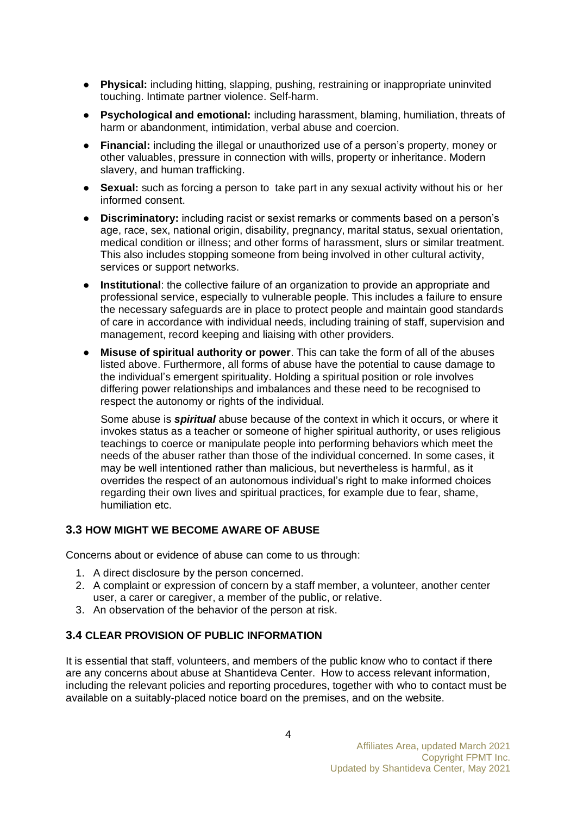- **Physical:** including hitting, slapping, pushing, restraining or inappropriate uninvited touching. Intimate partner violence. Self-harm.
- **Psychological and emotional:** including harassment, blaming, humiliation, threats of harm or abandonment, intimidation, verbal abuse and coercion.
- **Financial:** including the illegal or unauthorized use of a person's property, money or other valuables, pressure in connection with wills, property or inheritance. Modern slavery, and human trafficking.
- **Sexual:** such as forcing a person to take part in any sexual activity without his or her informed consent.
- **Discriminatory:** including racist or sexist remarks or comments based on a person's age, race, sex, national origin, disability, pregnancy, marital status, sexual orientation, medical condition or illness; and other forms of harassment, slurs or similar treatment. This also includes stopping someone from being involved in other cultural activity, services or support networks.
- **Institutional**: the collective failure of an organization to provide an appropriate and professional service, especially to vulnerable people. This includes a failure to ensure the necessary safeguards are in place to protect people and maintain good standards of care in accordance with individual needs, including training of staff, supervision and management, record keeping and liaising with other providers.
- **Misuse of spiritual authority or power**. This can take the form of all of the abuses listed above. Furthermore, all forms of abuse have the potential to cause damage to the individual's emergent spirituality. Holding a spiritual position or role involves differing power relationships and imbalances and these need to be recognised to respect the autonomy or rights of the individual.

Some abuse is *spiritual* abuse because of the context in which it occurs, or where it invokes status as a teacher or someone of higher spiritual authority, or uses religious teachings to coerce or manipulate people into performing behaviors which meet the needs of the abuser rather than those of the individual concerned. In some cases, it may be well intentioned rather than malicious, but nevertheless is harmful, as it overrides the respect of an autonomous individual's right to make informed choices regarding their own lives and spiritual practices, for example due to fear, shame, humiliation etc.

## **3.3 HOW MIGHT WE BECOME AWARE OF ABUSE**

Concerns about or evidence of abuse can come to us through:

- 1. A direct disclosure by the person concerned.
- 2. A complaint or expression of concern by a staff member, a volunteer, another center user, a carer or caregiver, a member of the public, or relative.
- 3. An observation of the behavior of the person at risk.

## **3.4 CLEAR PROVISION OF PUBLIC INFORMATION**

It is essential that staff, volunteers, and members of the public know who to contact if there are any concerns about abuse at Shantideva Center. How to access relevant information, including the relevant policies and reporting procedures, together with who to contact must be available on a suitably-placed notice board on the premises, and on the website.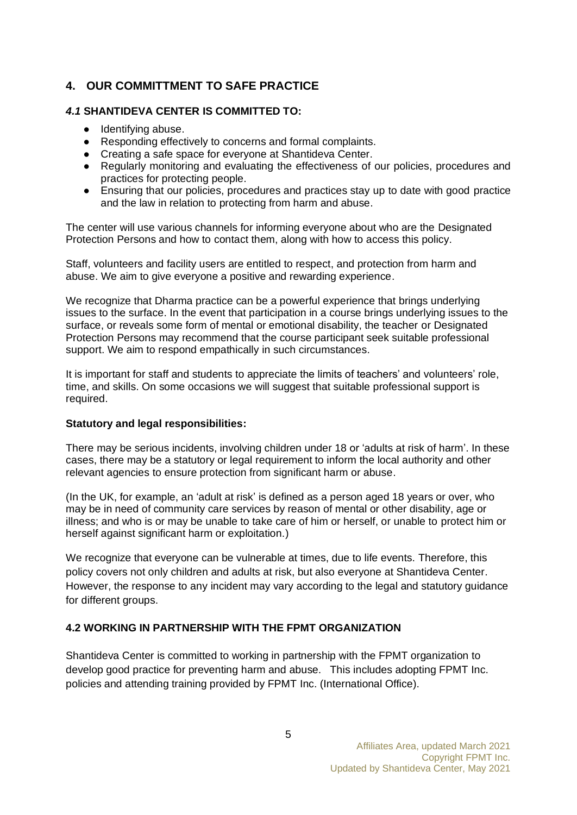## **4. OUR COMMITTMENT TO SAFE PRACTICE**

## *4.1* **SHANTIDEVA CENTER IS COMMITTED TO:**

- Identifying abuse.
- Responding effectively to concerns and formal complaints.
- Creating a safe space for everyone at Shantideva Center.
- Regularly monitoring and evaluating the effectiveness of our policies, procedures and practices for protecting people.
- Ensuring that our policies, procedures and practices stay up to date with good practice and the law in relation to protecting from harm and abuse.

The center will use various channels for informing everyone about who are the Designated Protection Persons and how to contact them, along with how to access this policy.

Staff, volunteers and facility users are entitled to respect, and protection from harm and abuse. We aim to give everyone a positive and rewarding experience.

We recognize that Dharma practice can be a powerful experience that brings underlying issues to the surface. In the event that participation in a course brings underlying issues to the surface, or reveals some form of mental or emotional disability, the teacher or Designated Protection Persons may recommend that the course participant seek suitable professional support. We aim to respond empathically in such circumstances.

It is important for staff and students to appreciate the limits of teachers' and volunteers' role, time, and skills. On some occasions we will suggest that suitable professional support is required.

#### **Statutory and legal responsibilities:**

There may be serious incidents, involving children under 18 or 'adults at risk of harm'. In these cases, there may be a statutory or legal requirement to inform the local authority and other relevant agencies to ensure protection from significant harm or abuse.

(In the UK, for example, an 'adult at risk' is defined as a person aged 18 years or over, who may be in need of community care services by reason of mental or other disability, age or illness; and who is or may be unable to take care of him or herself, or unable to protect him or herself against significant harm or exploitation.)

We recognize that everyone can be vulnerable at times, due to life events. Therefore, this policy covers not only children and adults at risk, but also everyone at Shantideva Center. However, the response to any incident may vary according to the legal and statutory guidance for different groups.

## **4.2 WORKING IN PARTNERSHIP WITH THE FPMT ORGANIZATION**

Shantideva Center is committed to working in partnership with the FPMT organization to develop good practice for preventing harm and abuse. This includes adopting FPMT Inc. policies and attending training provided by FPMT Inc. (International Office).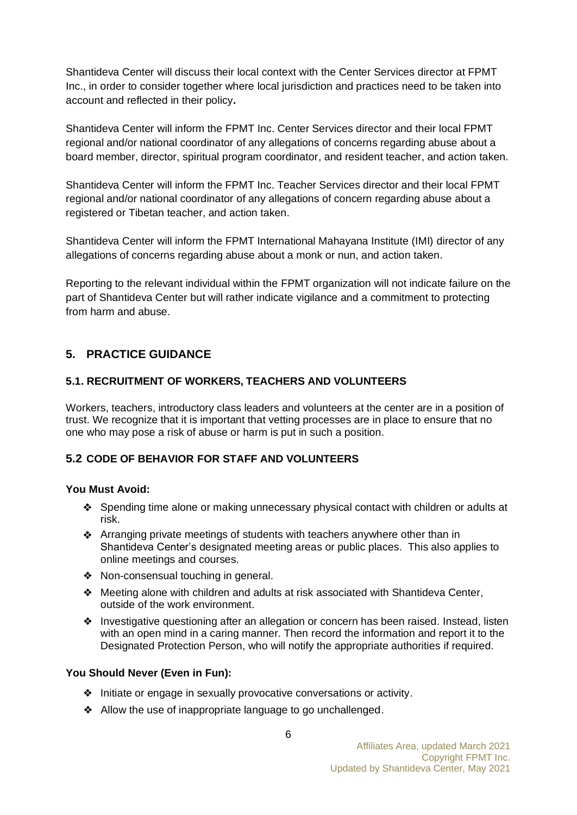Shantideva Center will discuss their local context with the Center Services director at FPMT Inc., in order to consider together where local jurisdiction and practices need to be taken into account and reflected in their policy**.** 

Shantideva Center will inform the FPMT Inc. Center Services director and their local FPMT regional and/or national coordinator of any allegations of concerns regarding abuse about a board member, director, spiritual program coordinator, and resident teacher, and action taken.

Shantideva Center will inform the FPMT Inc. Teacher Services director and their local FPMT regional and/or national coordinator of any allegations of concern regarding abuse about a registered or Tibetan teacher, and action taken.

Shantideva Center will inform the FPMT International Mahayana Institute (IMI) director of any allegations of concerns regarding abuse about a monk or nun, and action taken.

Reporting to the relevant individual within the FPMT organization will not indicate failure on the part of Shantideva Center but will rather indicate vigilance and a commitment to protecting from harm and abuse.

## **5. PRACTICE GUIDANCE**

## **5.1. RECRUITMENT OF WORKERS, TEACHERS AND VOLUNTEERS**

Workers, teachers, introductory class leaders and volunteers at the center are in a position of trust. We recognize that it is important that vetting processes are in place to ensure that no one who may pose a risk of abuse or harm is put in such a position.

## **5.2 CODE OF BEHAVIOR FOR STAFF AND VOLUNTEERS**

#### **You Must Avoid:**

- Spending time alone or making unnecessary physical contact with children or adults at risk.
- Arranging private meetings of students with teachers anywhere other than in Shantideva Center's designated meeting areas or public places. This also applies to online meetings and courses.
- ❖ Non-consensual touching in general.
- ❖ Meeting alone with children and adults at risk associated with Shantideva Center, outside of the work environment.
- ❖ Investigative questioning after an allegation or concern has been raised. Instead, listen with an open mind in a caring manner. Then record the information and report it to the Designated Protection Person, who will notify the appropriate authorities if required.

## **You Should Never (Even in Fun):**

- ❖ Initiate or engage in sexually provocative conversations or activity.
- ❖ Allow the use of inappropriate language to go unchallenged.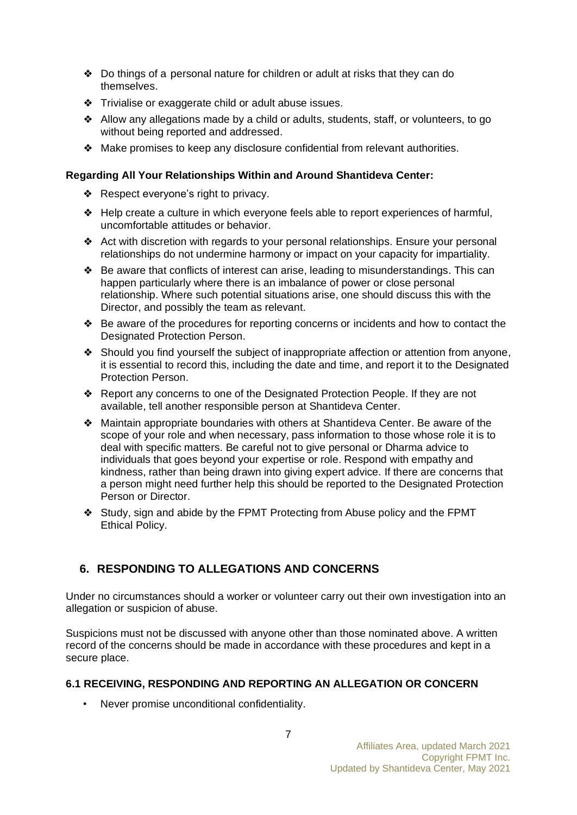- ❖ Do things of a personal nature for children or adult at risks that they can do themselves.
- ❖ Trivialise or exaggerate child or adult abuse issues.
- ❖ Allow any allegations made by a child or adults, students, staff, or volunteers, to go without being reported and addressed.
- ❖ Make promises to keep any disclosure confidential from relevant authorities.

### **Regarding All Your Relationships Within and Around Shantideva Center:**

- ❖ Respect everyone's right to privacy.
- ❖ Help create a culture in which everyone feels able to report experiences of harmful, uncomfortable attitudes or behavior.
- ❖ Act with discretion with regards to your personal relationships. Ensure your personal relationships do not undermine harmony or impact on your capacity for impartiality.
- ❖ Be aware that conflicts of interest can arise, leading to misunderstandings. This can happen particularly where there is an imbalance of power or close personal relationship. Where such potential situations arise, one should discuss this with the Director, and possibly the team as relevant.
- ❖ Be aware of the procedures for reporting concerns or incidents and how to contact the Designated Protection Person.
- ❖ Should you find yourself the subject of inappropriate affection or attention from anyone, it is essential to record this, including the date and time, and report it to the Designated Protection Person.
- ❖ Report any concerns to one of the Designated Protection People. If they are not available, tell another responsible person at Shantideva Center.
- ❖ Maintain appropriate boundaries with others at Shantideva Center. Be aware of the scope of your role and when necessary, pass information to those whose role it is to deal with specific matters. Be careful not to give personal or Dharma advice to individuals that goes beyond your expertise or role. Respond with empathy and kindness, rather than being drawn into giving expert advice. If there are concerns that a person might need further help this should be reported to the Designated Protection Person or Director.
- ❖ Study, sign and abide by the FPMT Protecting from Abuse policy and the FPMT Ethical Policy.

## **6. RESPONDING TO ALLEGATIONS AND CONCERNS**

Under no circumstances should a worker or volunteer carry out their own investigation into an allegation or suspicion of abuse.

Suspicions must not be discussed with anyone other than those nominated above. A written record of the concerns should be made in accordance with these procedures and kept in a secure place.

## **6.1 RECEIVING, RESPONDING AND REPORTING AN ALLEGATION OR CONCERN**

• Never promise unconditional confidentiality.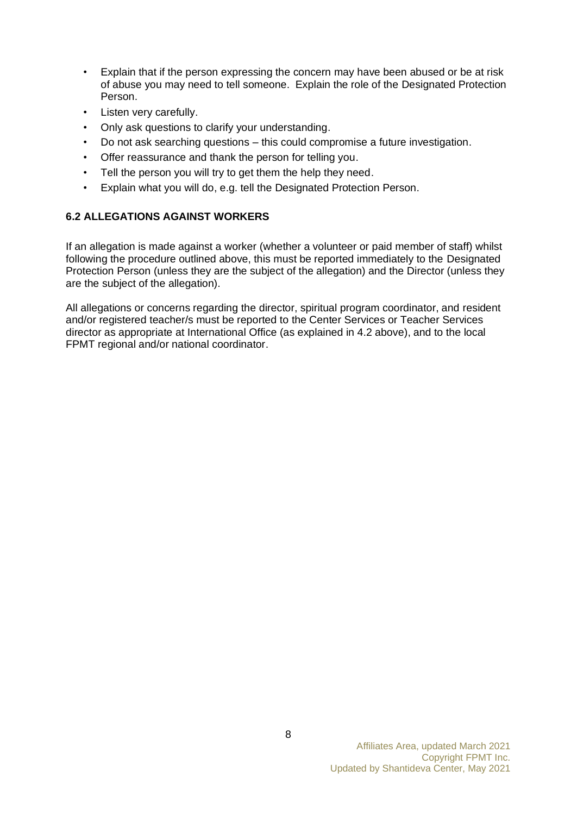- Explain that if the person expressing the concern may have been abused or be at risk of abuse you may need to tell someone. Explain the role of the Designated Protection Person.
- Listen very carefully.
- Only ask questions to clarify your understanding.
- Do not ask searching questions this could compromise a future investigation.
- Offer reassurance and thank the person for telling you.
- Tell the person you will try to get them the help they need.
- Explain what you will do, e.g. tell the Designated Protection Person.

## **6.2 ALLEGATIONS AGAINST WORKERS**

If an allegation is made against a worker (whether a volunteer or paid member of staff) whilst following the procedure outlined above, this must be reported immediately to the Designated Protection Person (unless they are the subject of the allegation) and the Director (unless they are the subject of the allegation).

All allegations or concerns regarding the director, spiritual program coordinator, and resident and/or registered teacher/s must be reported to the Center Services or Teacher Services director as appropriate at International Office (as explained in 4.2 above), and to the local FPMT regional and/or national coordinator.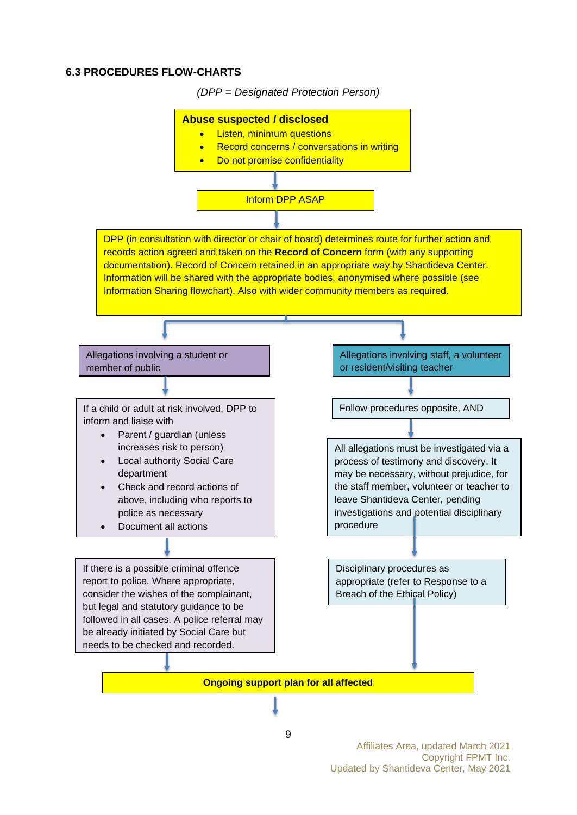#### **6.3 PROCEDURES FLOW-CHARTS**

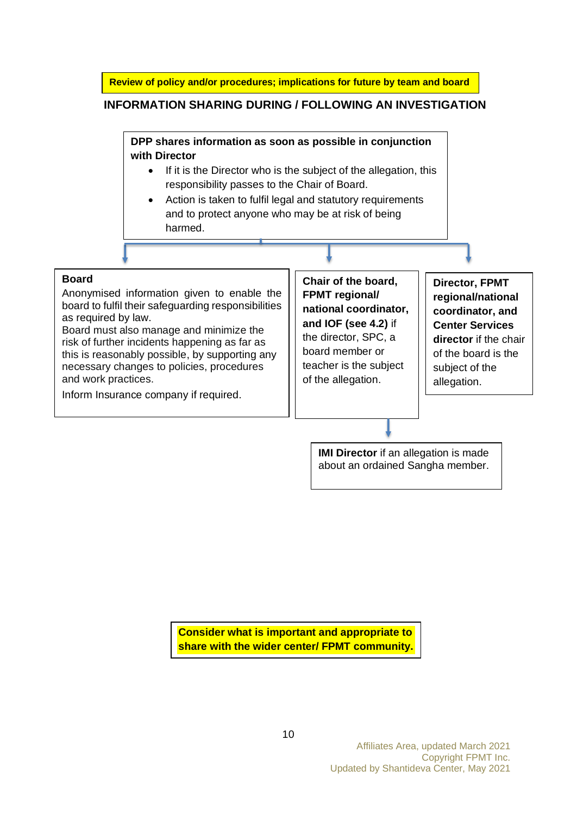**Review of policy and/or procedures; implications for future by team and board**

#### **INFORMATION SHARING DURING / FOLLOWING AN INVESTIGATION**

**DPP shares information as soon as possible in conjunction with Director**

- If it is the Director who is the subject of the allegation, this responsibility passes to the Chair of Board.
- Action is taken to fulfil legal and statutory requirements and to protect anyone who may be at risk of being harmed.

#### **Board**

Anonymised information given to enable the board to fulfil their safeguarding responsibilities as required by law.

Board must also manage and minimize the risk of further incidents happening as far as this is reasonably possible, by supporting any necessary changes to policies, procedures and work practices.

Inform Insurance company if required.

**Chair of the board, FPMT regional/ national coordinator, and IOF (see 4.2)** if the director, SPC, a board member or teacher is the subject of the allegation.

**Director, FPMT regional/national coordinator, and Center Services director** if the chair of the board is the subject of the allegation.

**IMI Director** if an allegation is made about an ordained Sangha member.

**Consider what is important and appropriate to share with the wider center/ FPMT community.**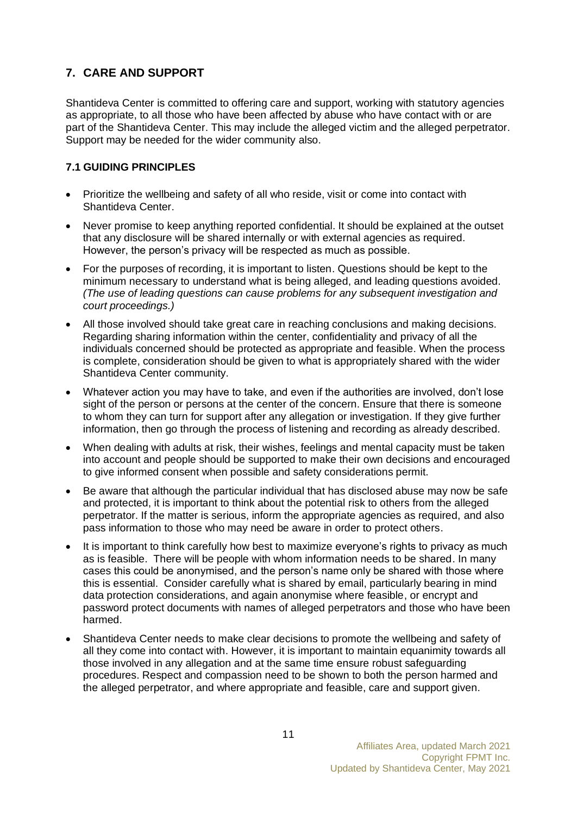## **7. CARE AND SUPPORT**

Shantideva Center is committed to offering care and support, working with statutory agencies as appropriate, to all those who have been affected by abuse who have contact with or are part of the Shantideva Center. This may include the alleged victim and the alleged perpetrator. Support may be needed for the wider community also.

## **7.1 GUIDING PRINCIPLES**

- Prioritize the wellbeing and safety of all who reside, visit or come into contact with Shantideva Center.
- Never promise to keep anything reported confidential. It should be explained at the outset that any disclosure will be shared internally or with external agencies as required. However, the person's privacy will be respected as much as possible.
- For the purposes of recording, it is important to listen. Questions should be kept to the minimum necessary to understand what is being alleged, and leading questions avoided. *(The use of leading questions can cause problems for any subsequent investigation and court proceedings.)*
- All those involved should take great care in reaching conclusions and making decisions. Regarding sharing information within the center, confidentiality and privacy of all the individuals concerned should be protected as appropriate and feasible. When the process is complete, consideration should be given to what is appropriately shared with the wider Shantideva Center community.
- Whatever action you may have to take, and even if the authorities are involved, don't lose sight of the person or persons at the center of the concern. Ensure that there is someone to whom they can turn for support after any allegation or investigation. If they give further information, then go through the process of listening and recording as already described.
- When dealing with adults at risk, their wishes, feelings and mental capacity must be taken into account and people should be supported to make their own decisions and encouraged to give informed consent when possible and safety considerations permit.
- Be aware that although the particular individual that has disclosed abuse may now be safe and protected, it is important to think about the potential risk to others from the alleged perpetrator. If the matter is serious, inform the appropriate agencies as required, and also pass information to those who may need be aware in order to protect others.
- It is important to think carefully how best to maximize everyone's rights to privacy as much as is feasible. There will be people with whom information needs to be shared. In many cases this could be anonymised, and the person's name only be shared with those where this is essential. Consider carefully what is shared by email, particularly bearing in mind data protection considerations, and again anonymise where feasible, or encrypt and password protect documents with names of alleged perpetrators and those who have been harmed.
- Shantideva Center needs to make clear decisions to promote the wellbeing and safety of all they come into contact with. However, it is important to maintain equanimity towards all those involved in any allegation and at the same time ensure robust safeguarding procedures. Respect and compassion need to be shown to both the person harmed and the alleged perpetrator, and where appropriate and feasible, care and support given.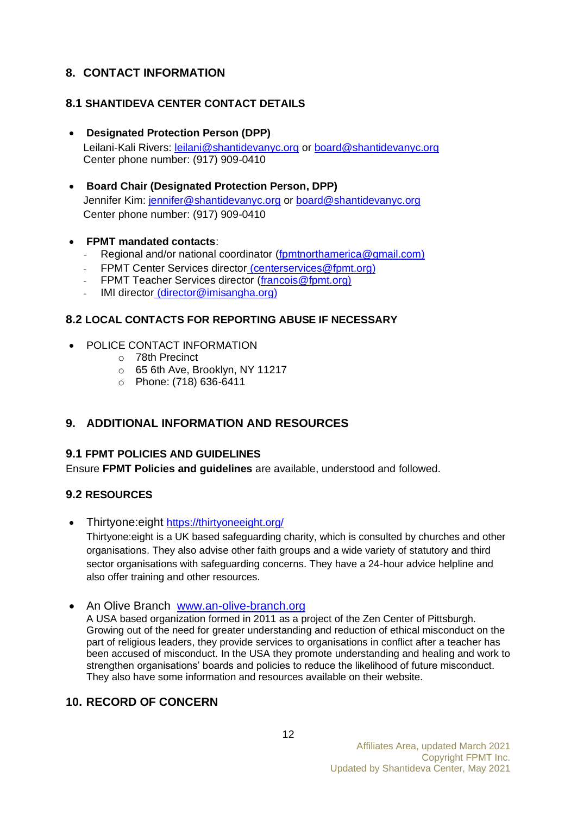## **8. CONTACT INFORMATION**

## **8.1 SHANTIDEVA CENTER CONTACT DETAILS**

• **Designated Protection Person (DPP)** 

Leilani-Kali Rivers: [leilani@shantidevanyc.org](mailto:leilani@shantidevanyc.org) or [board@shantidevanyc.org](mailto:board@shantidevanyc.org) Center phone number: (917) 909-0410

- **Board Chair (Designated Protection Person, DPP)** Jennifer Kim: [jennifer@shantidevanyc.org](mailto:jennifer@shantidevanyc.org) or [board@shantidevanyc.org](mailto:board@shantidevanyc.org) Center phone number: (917) 909-0410
- **FPMT mandated contacts**:
	- Regional and/or national coordinator [\(fpmtnorthamerica@gmail.com\)](mailto:fpmtnorthamerica@gmail.com)
	- FPMT Center Services director [\(centerservices@fpmt.org\)](mailto:centerservices@fpmt.org)
	- FPMT Teacher Services director [\(francois@fpmt.org\)](mailto:francois@fpmt.org)
	- IMI director [\(director@imisangha.org\)](mailto:director@imisangha.org)

## **8.2 LOCAL CONTACTS FOR REPORTING ABUSE IF NECESSARY**

- POLICE CONTACT INFORMATION
	- o 78th Precinct
	- o 65 6th Ave, Brooklyn, NY 11217
	- o Phone: (718) 636-6411

## **9. ADDITIONAL INFORMATION AND RESOURCES**

## **9.1 FPMT POLICIES AND GUIDELINES**

Ensure **FPMT Policies and guidelines** are available, understood and followed.

## **9.2 RESOURCES**

• Thirtyone: eight <https://thirtyoneeight.org/>

Thirtyone:eight is a UK based safeguarding charity, which is consulted by churches and other organisations. They also advise other faith groups and a wide variety of statutory and third sector organisations with safeguarding concerns. They have a 24-hour advice helpline and also offer training and other resources.

• An Olive Branch [www.an-olive-branch.org](http://www.an-olive-branch.org/)

A USA based organization formed in 2011 as a project of the Zen Center of Pittsburgh. Growing out of the need for greater understanding and reduction of ethical misconduct on the part of religious leaders, they provide services to organisations in conflict after a teacher has been accused of misconduct. In the USA they promote understanding and healing and work to strengthen organisations' boards and policies to reduce the likelihood of future misconduct. They also have some information and resources available on their website.

## **10. RECORD OF CONCERN**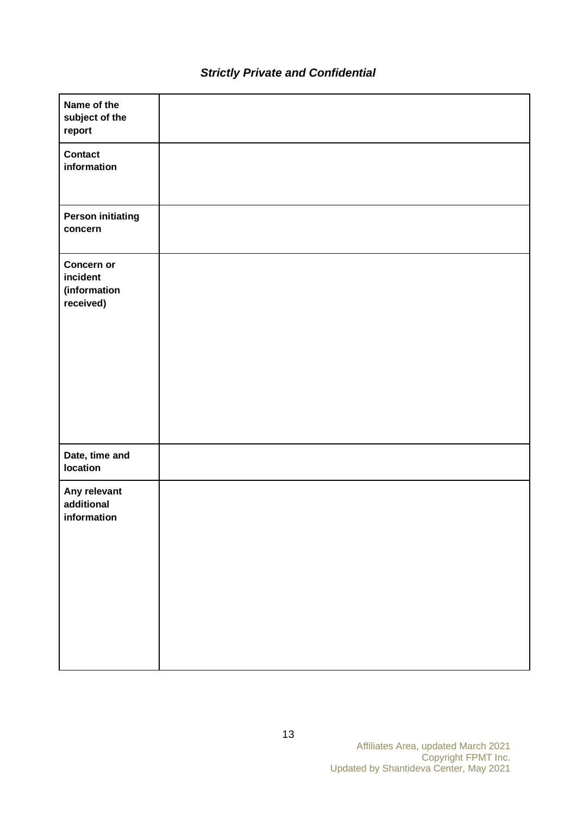| Name of the<br>subject of the<br>report             |  |
|-----------------------------------------------------|--|
| <b>Contact</b><br>information                       |  |
| <b>Person initiating</b><br>concern                 |  |
| Concern or<br>incident<br>(information<br>received) |  |
| Date, time and<br>location                          |  |
| Any relevant<br>additional<br>information           |  |

# *Strictly Private and Confidential*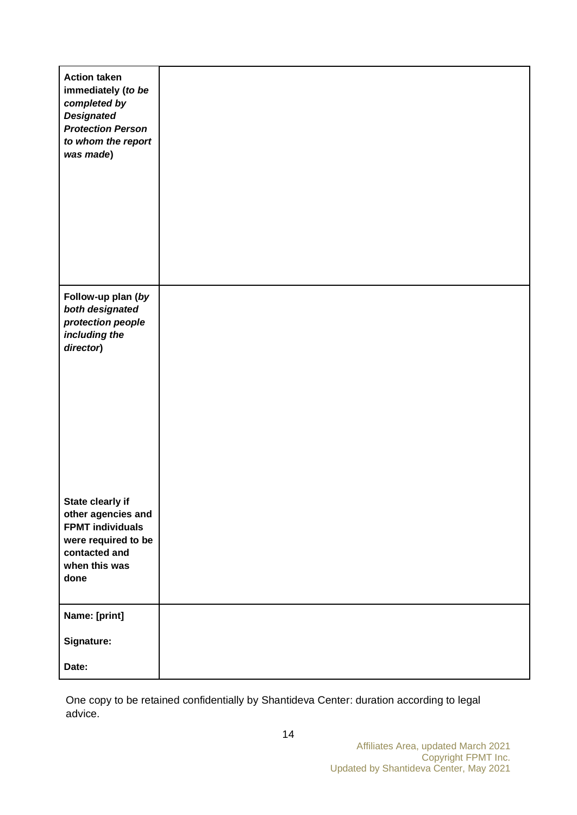| <b>Action taken</b><br>immediately (to be<br>completed by<br><b>Designated</b><br><b>Protection Person</b><br>to whom the report<br>was made) |  |
|-----------------------------------------------------------------------------------------------------------------------------------------------|--|
| Follow-up plan (by                                                                                                                            |  |
| both designated<br>protection people                                                                                                          |  |
| including the<br>director)                                                                                                                    |  |
|                                                                                                                                               |  |
|                                                                                                                                               |  |
|                                                                                                                                               |  |
|                                                                                                                                               |  |
|                                                                                                                                               |  |
|                                                                                                                                               |  |
| State clearly if<br>other agencies and                                                                                                        |  |
| <b>FPMT individuals</b><br>were required to be                                                                                                |  |
| contacted and<br>when this was                                                                                                                |  |
| done                                                                                                                                          |  |
| Name: [print]                                                                                                                                 |  |
| Signature:                                                                                                                                    |  |
| Date:                                                                                                                                         |  |
|                                                                                                                                               |  |

One copy to be retained confidentially by Shantideva Center: duration according to legal advice.